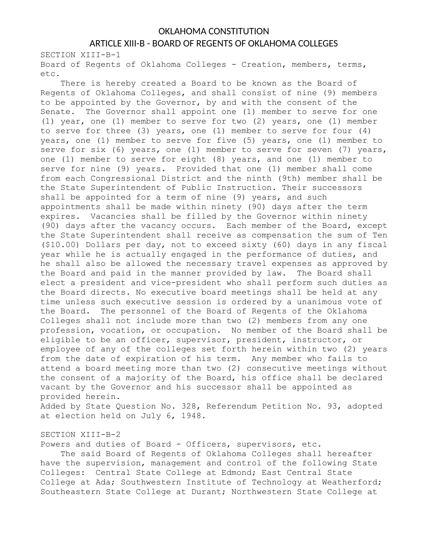## OKLAHOMA CONSTITUTION ARTICLE XIII-B - BOARD OF REGENTS OF OKLAHOMA COLLEGES

SECTION XIII-B-1 Board of Regents of Oklahoma Colleges - Creation, members, terms, etc.

There is hereby created a Board to be known as the Board of Regents of Oklahoma Colleges, and shall consist of nine (9) members to be appointed by the Governor, by and with the consent of the Senate. The Governor shall appoint one (1) member to serve for one (1) year, one (1) member to serve for two (2) years, one (1) member to serve for three (3) years, one (1) member to serve for four (4) years, one (1) member to serve for five (5) years, one (1) member to serve for six (6) years, one (1) member to serve for seven (7) years, one (1) member to serve for eight (8) years, and one (1) member to serve for nine (9) years. Provided that one (1) member shall come from each Congressional District and the ninth (9th) member shall be the State Superintendent of Public Instruction. Their successors shall be appointed for a term of nine (9) years, and such appointments shall be made within ninety (90) days after the term expires. Vacancies shall be filled by the Governor within ninety (90) days after the vacancy occurs. Each member of the Board, except the State Superintendent shall receive as compensation the sum of Ten (\$10.00) Dollars per day, not to exceed sixty (60) days in any fiscal year while he is actually engaged in the performance of duties, and he shall also be allowed the necessary travel expenses as approved by the Board and paid in the manner provided by law. The Board shall elect a president and vice-president who shall perform such duties as the Board directs. No executive board meetings shall be held at any time unless such executive session is ordered by a unanimous vote of the Board. The personnel of the Board of Regents of the Oklahoma Colleges shall not include more than two (2) members from any one profession, vocation, or occupation. No member of the Board shall be eligible to be an officer, supervisor, president, instructor, or employee of any of the colleges set forth herein within two (2) years from the date of expiration of his term. Any member who fails to attend a board meeting more than two (2) consecutive meetings without the consent of a majority of the Board, his office shall be declared vacant by the Governor and his successor shall be appointed as provided herein.

Added by State Question No. 328, Referendum Petition No. 93, adopted at election held on July 6, 1948.

## SECTION XIII-B-2

Powers and duties of Board - Officers, supervisors, etc.

The said Board of Regents of Oklahoma Colleges shall hereafter have the supervision, management and control of the following State Colleges: Central State College at Edmond; East Central State College at Ada; Southwestern Institute of Technology at Weatherford; Southeastern State College at Durant; Northwestern State College at